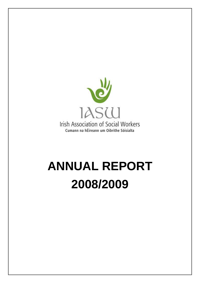

# **ANNUAL REPORT 2008/2009**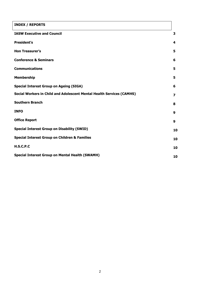| <b>INDEX / REPORTS</b>                                                |                  |
|-----------------------------------------------------------------------|------------------|
| <b>IASW Executive and Council</b>                                     | 3                |
| <b>President's</b>                                                    | 4                |
| <b>Hon Treasurer's</b>                                                | 5                |
| <b>Conference &amp; Seminars</b>                                      | 6                |
| <b>Communications</b>                                                 | 5                |
| <b>Membership</b>                                                     | 5                |
| <b>Special Interest Group on Ageing (SIGA)</b>                        | 6                |
| Social Workers in Child and Adolescent Mental Health Services (CAMHS) | 7                |
| <b>Southern Branch</b>                                                | 8                |
| <b>INFO</b>                                                           | $\boldsymbol{9}$ |
| <b>Office Report</b>                                                  | $\boldsymbol{9}$ |
| <b>Special Interest Group on Disability (SWID)</b>                    | 10               |
| <b>Special Interest Group on Children &amp; Families</b>              | 10               |
| H.S.C.P.C                                                             | 10               |
| <b>Special Interest Group on Mental Health (SWAMH)</b>                | 10               |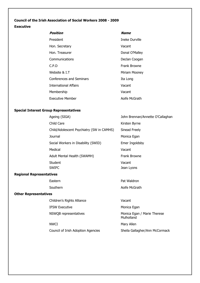## **Council of the Irish Association of Social Workers 2008 - 2009**

## **Executive**

| Position                        | <b>Name</b>           |
|---------------------------------|-----------------------|
| President                       | <b>Ineke Durville</b> |
| Hon. Secretary                  | Vacant                |
| Hon. Treasurer                  | Donal O'Malley        |
| Communications                  | Declan Coogan         |
| C.P.D                           | <b>Frank Browne</b>   |
| Website & I.T                   | Miriam Mooney         |
| <b>Conferences and Seminars</b> | Ita Long              |
| <b>International Affairs</b>    | Vacant                |
| Membership                      | Vacant                |
| Executive Member                | Aoife McGrath         |

# **Special Interest Group Representatives**

| Ageing (SIGA)                             | John Brennan/Annette O'Callaghan |
|-------------------------------------------|----------------------------------|
| Child Care                                | Kirsten Byrne                    |
| Child/Adolescent Psychiatry (SW in CAMHS) | Sinead Freely                    |
| Journal                                   | Monica Egan                      |
| Social Workers in Disability (SWID)       | Emer Ingoldsby                   |
| Medical                                   | Vacant                           |
| Adult Mental Health (SWAMH)               | Frank Browne                     |
| Student                                   | Vacant                           |
| <b>SWIFC</b>                              | Jean Lyons                       |
|                                           |                                  |

# **Regional Representatives**

| Eastern  | Pat Waldron   |
|----------|---------------|
| Southern | Aoife McGrath |

## **Other Representatives**

| Children's Rights Alliance | Vacant                                    |
|----------------------------|-------------------------------------------|
| IFSW Executive             | Monica Egan                               |
| NSWQB representatives      | Monica Egan / Marie Therese<br>Mulholland |
| NWCI                       | Mary Allen                                |
|                            |                                           |

Council of Irish Adoption Agencies Sheila Gallagher/Ann McCormack

Pat Waldron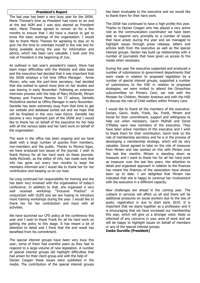#### **President's Report**

The last year has been a very busy year for the IASW. Marie Therese"s time as President had come to an end at the last AGM and I was duly elected as President elect. Marie Therese agreed to remain on for a few months to ensure that I did have a chance to get to know the basic workings of the organisation. I would like to thank Marie Therese for agreeing to stay on to give me the time to orientate myself in the role and for being available during the year for information and advice, which has been very valuable. I took over the role of President in the beginning of July.

As outlined in last year's president's report, there had been major difficulties with the Website and data base and the executive had decided that it was important that the IASW employs a full time Office Manager. Annie Moran, who was the part-time secretary, had decided that she wished to spend more time on her studies and was leaving in early November. Following an extensive interview process with the help of Mary McDevitt, Miriam Mooney and Frances Mooney for IT advice, Danielle McGoldrick started as Office Manager in early November. Danielle has been extremely busy from that time to get our website and database sorted out and we hope that will be finalised in the very near future. Danielle has become a very important part of the IASW and I would like to thank her on behalf of the executive for her help with all the various tasks and her hard work on behalf of the organisation.

The work in the office has been ongoing and we have dealt with a large number of queries from members, non-members and the public. Thanks to Monica Egan, we have produced two issues of the journal. I wish to thank Monica for all her hard work on these journals. Aoife McGrath, as the editor of info, has made sure that info has gone out every two months to keep the members informed and I would like to thank her for her contribution and keeping us on our toes.

Ita Long continued her responsibility for training and she has been very involved with the organisation of today"s conference. In addition to that, she organised a very well received workshop "Inclusive Practice" in conjunction with GLEN and we are hoping to introduce more training workshops during the year. I would like to thank her for her contribution and input with all activities.

We have launched our CPD policy at the conference this year and I wish to thank Frank for all his hard work on getting the policy to this stage. It has meant a lot of attention to detail and I think that the end result has benefited from his commitment.

The special interest groups have been very busy this year; some of them had eventful years as they had to respond to a large volume of new legislation. A number of special interest groups did highlight difficulties that had arisen for their client group and with the help of Declan Coogan these issues were published in the media. The contribution of the special interest groups

has been invaluable to the executive and we would like to thank them for their hard work.

The IASW has continued to have a high profile this year. Thanks to Declan Coogan who has played a very active role as the communication coordinator we have been able to respond very promptly to a number of issues that have arisen during the year and we managed to highlight issues through press releases, letters and articles both from the executive as well as the special interest groups. Declan has build up relationships with a number of journalists that have given us access to the media when necessary.

During the year the executive supported and produced a number of submissions to government departments that were made in relation to proposed legislation by a number of special interest groups; supported a number of submissions to the HSE in relation to proposed strategies; we were invited to attend the Oireachtas subcommittee on Primary Care; we met with the Minister for Children, Minister Andrews and with the HSE to discuss the role of Child welfare within Primary Care.

I would like to thank all the members of the executive: Declan, Gavin, Aoife, Frank, Ita, Frank, Miriam and Donal for their commitment, support and willingness to help out when necessary. Gavin Mulhall and Donal O"Malley were new members of the executive. They have been active members of the executive and I wish to thank them for their contribution. Gavin took on the role of membership secretary and he is in the process of developing a membership strategy, which will be very valuable. Donal agreed to take on the role of treasurer from Miriam and has worked on this with Miriam over the last few months. Miriam is standing down as treasurer and I want to thank her for all her hard work as treasurer over the last few years. Her attention to detail and organised approach in relation to the finances has meant the finances of the association have always been up to date. I am delighted that Miriam has indicated that she is happy to continue her involvement with the executive in a different capacity.

New challenges are ahead in the coming year. The cutback in services will affect us all and there will be additional pressures on social workers due to the loss of posts; registration is due to start early 2010. It is important that we stand together as a profession and it is encouraging that we have increased our membership this year, which will give us a stronger voice. Keep us informed of any concerns in your area of work and we will be happy to highlight issues on behalf of members or any of the special interest groups.

**Ineke Durville (President)**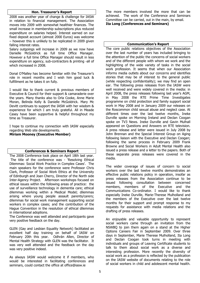## **Hon. Treasurer's Report**

2008 was another year of change & challenge for IASW in relation to financial management. The Association moves into 2009 with somewhat healthier finances. The small increase in membership subscriptions plus reduced expenditure on salaries helped. Interest earned on our fixed deposit account (almost 2000 Euros) was welcome – however this is unlikely to be replicated in 2009 given falling interest rates.

Salary outgoings will increase in 2009 as we now have Danielle McGoldrick as full time Office Manager. However a full time Office Manager should result in less expenditure on agency, sub-contractors & printing -all of which increased in 2008.

Donal O"Malley has become familiar with the Treasurer"s role in recent months and I wish him good luck & fulfillment as he takes it on fully.

I would like to thank current & previous members of Executive & Council for their support & camaraderie over the years. Many thanks also to Orla Cooke, Anne Marie Moran, Belinda Kelly & Danielle McGoldrick. Mary Mc Devitt continues to support the IASW with her wisdom & experience for which I am truly grateful. All in Meade Casey have been supportive & helpful throughout my time as Treasurer.

I hope to continue my connection with IASW especially regarding Web site developments.

**Miriam Mooney (Executive Member)**

## **Conferences & Seminars Report**

The 2008 Conference took place on April 18th last year. The title of the conference was - 'Resolving Ethical Dilemmas: Social Work Practice in Complex Cases'. The main speakers for the conference were Professor Chris Clark, Professor of Social Work Ethics at the University of Edinburgh and Joan Cherry, Director of the North side Inter-Agency Project. Afternoon workshops focused on ethical issues within the following areas of practice: the use of surveillance technology in dementia care; ethical dilemmas working within a Medical Model; dilemmas arising where young people assault parents/carers; dilemmas for social work management supporting social workers in complex cases; and the contribution of the Hague Convention in the resolution of ethical dilemmas in international adoptions.

The Conference was well attended and participants gave very positive feedback on the day.

GLEN (Gay and Lesbian Equality Network) facilitated an excellent half day training on behalf of IASW on February 20th this year. Odhrán Allen, Director of Mental Health Strategy with GLEN was the facilitator. It was very well attended and the feedback on the day was very positive indeed.

As always IASW would welcome it if members, who would be interested in facilitating conferences and seminars, could contact the office at office@iasw.ie

The more members involved the more that can be achieved. The work of the Conference and Seminars Committee can be carried, out in the main, by email. **Ita Long (Conferences and Seminars)** 

#### **Communication's Report**

The core public relations objectives of the Association over the last number of years has included bringing to the attention of the public the concerns of social workers and of the different people with whom we work and the highlighting of the wide variety of tasks in the social work profession. It seems that when our Association informs media outlets about our concerns and identifies stories that may be of interest to the general public (while respecting confidentiality); we may find an open ear. The following press releases from the IASW were well received and were widely covered in the media: in April 2008, the press releases following last year's AGM, in May 2008 the RTE Prime Time Investigates programme on child protection and family support social work in May 2008 and in January 2009 our releases on the Roscommon child sexual abuse and neglect case. At different times over the last twelve months, Ineke Durville spoke on Morning Ireland and Declan Coogan spoke on TV3 News. Ineke Durville and Gavin Mulhall appeared on Questions and Answers on RTE television. A press release and letter were issued in July 2008 by John Brennan and the Special Interest Group on Aging following liaison with the Executive and Declan Coogan; following the same process in February 2009 Frank Browne and Social Workers in Adult Mental Health also issued a press release and a letter to the papers. Both of these separate press releases were covered in the media.

The wider coverage of issues of concern to social workers over the last twelve months demonstrates an effective public relations policy in operation, insofar as press releases from the Association continue to be issued following consultation between concerned members, members of the Executive and the Communications Co-ordinator. I would like to thank especially Ineke Durville, Marie-Therese Mulholland and the members of the Executive over the last twelve months for their support and prompt response to my requests for assistance with media relations and the drafting of press releases.

An enjoyable and valuable opportunity to represent social workers came through an invitation from the NSWBQ to join them again on a stand at the Higher Options Careers Fair in September 2009. Over three days in September, Marie Therese Mulholland, Ita Long and Declan Coogan took turns in meeting with individuals and groups of Leaving Certificate students to talk to them about social work as a diverse and interesting profession. More recently the diversity of social work as a profession is reflected by the publication on the IASW website of documents relating to the role of social workers in child and adolescent mental health.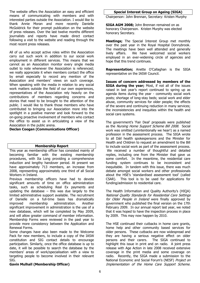The website offers the Association an easy and efficient means of communicating with members and with interested parties outside the Association. I would like to thank Annie Moran and more recently Danielle McGoldrick for their prompt publication on the website of press releases. Over the last twelve months different journalists and reports have made direct contact following a visit to the website and reading through the most recent press releases.

All of us who accept active roles within the Association carry out such work in addition to our social work employment in different services. This means that we cannot as an Association monitor every single media outlet to note whenever the Association is referenced; we really appreciate it when members contact the office by email especially to record any mention of the Association and members' views on such coverage. When speaking with the media in relation to any social work matters outside the field of our own experiences, representatives of the Association rely heavily on the contributions of members regarding concerns and stories that need to be brought to the attention of the public. I would like to thank those members who have contributed to bringing our Association more into the spotlight in a positive manner and look forward to the on-going proactive involvement of members who contact the office to assist us in articulating a view of the Association in the public arena.

**Declan Coogan (Communications Officer)**

#### **Membership Report**

This year as membership officer has consisted mainly of becoming familiar with the existing membership procedures, with Ita Long providing a comprehensive induction and lengthy handover period. At present we have approximately 713 members, an increase from 2008, representing approximately one third of all Social Workers in Ireland.

Previous membership officers have had to devote significant amounts of time on office administration tasks, such as scheduling Real Ex payments and updating the database  $-$  this was due largely to the limited administrative support available. The recruitment of Danielle on a full-time basis has dramatically improved membership administration. Another significant improvement in administration is the use of a new database, which will be completed by May 2009, and will allow greater command of member information. Membership Forms were reviewed in the past year to provide more consistency between the Application and Renewal Forms.

Some changes have also been made to the Welcome Pack for new members, to include a copy of the IASW constitution and SIG contact details to encourage participation. Similarly, once the office database is up to date, it will be possible to search the database by the members" areas of work/specialisation with a view to targeting people to become involved in their relevant SIG.

# **Gavin Mulhall (Membership Officer)**

**Special Interest Group on Ageing (SIGA)**

Chairperson: John Brennan, Secretary: Kristen Murphy

**SIGA AGM 2008;** John Brennan remained on as honorary Chairperson. Kristen Murphy was elected honorary Secretary.

**Meetings;** The Special Interest Group met monthly over the past year in the Royal Hospital Donnybrook. The meetings have been well attended and generally lively affairs. We have welcomed social workers employed in an ever-widening circle of agencies and hope that this trend continues.

**Representation;** Anette O"Callaghan is the SIGA representative on the IASW Council.

**Issues of concern addressed by members of the SIGA during the year;** Most, if not all of the issues raised in last year"s report continued to spring up as agenda items during the year - community social work posts; shortage of long-stay beds; social work and elder abuse, community services for older people; the effects of the severe and continuing reduction in many services; the inconsistencies and inequities within the health and social care systems.

The government's 'Fair Deal' proposals were published as the Nursing Home Support Scheme Bill 2008. Social work was omitted (unintentionally we hear!) as a named profession in the assessment process. The SIGA wrote to all Dáil health spokespersons and the Minister for Health and Children to request an amendment to the Bill to include social work as part of the assessment process. We received a number of thoughtful and detailed replies, including one from the Minister that gave us some comfort. In the meantime, the residential care funding system continues to be inconsistent and inequitable. In tandem with this issue, there was much debate amongst social workers and other professionals about the HSE"s "standardised assessment tool" (called CSAR). This tool is to be used for applications for funding/admission to residential care.

The Health Information and Quality Authority's (HIQA) National Quality Standards for Residential Care Settings for Older People in Ireland were finally approved by government who published the final version on the 17th February 2009. In our annual report last year, we noted that it was hoped to have the inspection process in place by 2009. This may now happen by 2010.

The HSE continued their cutbacks in home care grants, home help and other community based services for older persons. These cutbacks are now widespread and they are having a serious negative effect on older persons and their carers. The SIGA continued to highlight this issue in print and on radio. A joint press release with Age Action in late 2008 received extensive coverage in the print media and some coverage on radio. Recently, the SIGA made a submission to the National Economic and Social Forum's (NESF) Project on Implementation of the Home Care Support Scheme.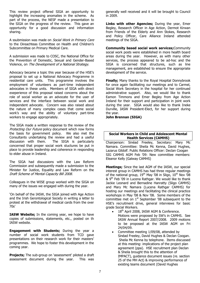This review project offered SIGA an opportunity to highlight the increasing anomalies in the scheme. As part of the process, the NESF made a presentation to the SIGA on the progress of the review. This gave an opportunity for a good discussion and information sharing.

A ssubmission was made on *Social Work in Primary Care* to the Oireachteas Committee on Health and Children"s Subcommittee on Primary Medical Care.

A submission was made to COSC, the National Office for the Prevention of Domestic, Sexual and Gender-Based Violence, on The Development of a National Strategy.

Advocacy became a topic this year because of the HSE"s proposal to set up a National Advocacy Programme in residential care units. This programme involves the employment of volunteers as part-time independent advocates in these units. Members of SIGA with direct exeperience of this proposal raised concerns about the role of social worker as an advocate for the user of services and the interface between social work and independent advocate. Concern was also raised about the nature of many complex cases that come social work"s way and the ability of voluntary part-time workers to engage appropriately.

The SIGA made a written response to the review of the Protecting Our Future policy document which now forms the basis for government policy. We also met the Consultants undertaking the review and had a useful discussion with them. The SIGA is particularly concerned that proper social work stuctures be put in place to provide leadership and coherence in responding to elder abuse in Ireland.

The SIGA had discussions with the Law Reform Commission and subsequently made a submission to the Minister for Justice, Equality and Law Reform on the Draft Scheme of Mental Capacity Bill 2008.

Colleagues in the WISE group worked with the SIGA on many of the issues we engaged with during the year.

"On behalf of the IASW, the SIGA joined with Age Action and the Irish Gerontological Society in writing a letter to protest at the withdrawal of medical cards from the over 70s"

**IASW Website;** In the coming year, we hope to have copies of submissions, statements, etc., posted on th IASW website.

**Engagement with Students;** During the year a number of social work students from TCD gave presentations on their research work for their masters' programmes. We hope to foster this development in the coming year.

**Projects;** The sub-group on 'assessment' piloted a draft assessment document during the year. This was generally well received and it will be brought to Council in 2009.

**Links with other Agencies;** During the year, Emer Begley, Research Officer in Age Action, Dermot Kirwan from Friends of the Elderly and Ann Stokes, Research and Policy Officer, Care Alliance Ireland attended meetings of the SIGA.

**Community based social work services;**Community social work posts were established in more health board areas during the year. However, as with many other services, the process appeared to be ad-hoc and the SIGA is concerned that structures, such as line management, are established to ensure the appropriate development of the service.

**Finally;** Many thanks to the Royal Hospital Donnybrook for once again facilitating our meetings and to Carmel, Social Work Secretary in the hospital for her continued administrative support. Also, we would like to thank Eamon Timmons and Emer Begley from Age Action Ireland for their support and participation in joint work during the year. SIGA would also like to thank Ineke Durville, IASW President-Elect, for her support during the year.

**John Brennan (SIGA)**

## **Social Workers in Child and Adolescent Mental Health Services (CAMHS)**

Chairperson: Sinéad Freeley, Secretary: Mary Mc Namara. Committee: Sheila Mc Kenna, David Hughes, Lazarus Gildolf. Public Relations Officer: Declan Coogan SIG CAMHS AGM Feb "09: New committee members: Eleanor Kelly (Galway CAMHS)

**Meetings;** Since the last AGM of the IASW, our special interest group in CAMHS has had three regular meetings of the national group,  $19<sup>th</sup>$  May '08 in Sligo,  $10<sup>th</sup>$  Nov '08 & 9<sup>th</sup> Feb '09 in Lucena Rathgar. We would like to thank Jackie Leonard and Bernadine Hanratty (Sligo CAMHS) and Mary Mc Namara (Lucena Rathgar CAMHS) for hosting our meetings and facilitating the clinical practice workshops in May "08 & Nov "08. Some members of the committee met on  $1<sup>st</sup>$  September '08 subsequent to the HSE's recruitment drive, general interviews for basic grade Social Workers.

- $\bullet$  18<sup>th</sup> April 2008, IASW AGM & Conference. Motions were proposed by SW"s in CAMHS. See IASW Annual Report 2007/2008. 2009 motions to be proposed at the IASW AGM on Fri 24/04/09.
- Committee meeting 1/09/08, attended by Sinéad Freeley, David Hughes & Declan Coogan. Sheila Mc Kenna by telephone. Items discussed at this meeting: implications of the project plan agreement (ppa). HSE recruitment plan Declan & Sheila brought this to the attention of IMPACT), guidance document issues (re. section 25 of the MH Act) & improving performance of existing teams document (David Hughes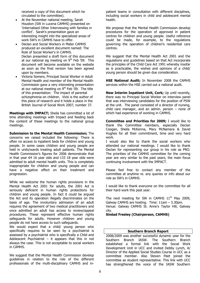received a copy of this document which he circulated to the committee).

- At the November national meeting, Sarah Houston (SW in Lucena CAMHS) presented on "Internalised Other Interviewing with families in conflict'. Sarah's presentation gave an interesting insight into the specialized areas of work SW"s in CAMHS have to offer.
- Declan and Social Workers in Mater CAMHS produced an excellent document named: The Role of Social Worker"s in CAMHS. Declan presented a draft form of this document at our national sig meeting on  $9<sup>th</sup>$  Feb '09. This document will become available on the website as soon as the final version has been agreed upon by members.
- Victoria Somers, Principal Social Worker in Adult Mental Health and member of the Mental Health Commission gave a very interesting presentation at our national meeting on  $9<sup>th</sup>$  Feb  $'09$ . The title of this presentation: The impact of parental schizophrenia on children. Vicki is the author of this piece of research and it holds a place in the British Journal of Social Work 2007, number 37.

**Meetings with IMPACT;** Sheila has committed a lot of time attending meetings with Impact and feeding back the content of these meetings to the national group meetings.

**Submission to the Mental Health Commission;** The concerns we raised included the following: There is often no access to inpatient beds for children and young people. In some cases children and young people are held in units/wards treating adult patients. The Mental Health Commission"s figures for 2006 demonstrate that in that year 64 16 year olds and 133 18 year olds were admitted to adult mental health units. This is completely inappropriate for children and young people and can have a negative effect on their treatment and progression.

While we welcome the human rights provisions in the Mental Health Act 2001 for adults, the 2001 Act is seriously deficient in human rights protections for children and young people. In fact it could be argued the Act and its operation illegally discriminates on the basis of age. The involuntary admission of an adult requires the agreement of two medical practitioners and once admitted an adult has access to review/appeal procedures. These represent effective human rights safeguards for adults. However children and young people do not have access to such safeguards.

We would expect that a child/ young person who specifically requires to be seen by a psychiatrist is assessed by a psychiatrist who is specifically a Child and Adolescent Psychiatrist  $-$  it appears that this in not always the case. This is not acceptable to social workers in CAMHS.

We suggest that the Mental Health Commission develop guidelines in relation to the role of the different professionals of the multi-disciplinary CAMHS and in-

patient teams in consultation with different disciplines, including social workers in child and adolescent mental health.

We propose that the Mental Health Commission develop procedures for the operation of approved in patient centres for children and young people. Useful reference could be made, for example, to the regulations governing the operation of children"s residential care centres.

We suggest that the Mental Health Act 2001 and the regulations and guidelines based on that Act incorporate the principles of the Child Care Act 1991 whereby insofar as is practicable, the wishes and opinions of a child/ young person should be given due consideration.

**HSE National Audit;** In November 2008 the CAMHS services within the HSE carried out a national audit.

**New Interim Inpatient Unit, Cork;** Up until recently, there was no Principal Social Worker on interview panel that was interviewing candidates for the position of PSW at the unit. The panel consisted of a director of nursing, child care manager, and an admin. person – none of which had experience of working in CAMHS.

**Committee and Priorities for 2009;** I would like to thank the Committee members, especially Declan Coogan, Sheila McKenna, Mary McNamara & David Hughes for all their commitment, time and very hard work.

I would also like to thank the social workers who attended our national meetings. I would like to thank Declan for representing our group in his role as PRO. The priorities of the CAMHS committee for the coming year are very similar to the past years, the main focus continuing involvement with the IMPACT.

Please feel free to contact any member of the committee at anytime re. any queries or info about our role as SW"s in CAMHS.

I would like to thank everyone on the committee for all their hard work this past year.

The next meeting for SW in CAMHS  $11<sup>th</sup>$  May 2009, Galway CAMHS are hosting. Time: 11am – 3.30pm. Venue: Galway CAMHS St. Anne's Taylor Hill, Galway city.

**Sinéad Freeley (Chairperson, CAMHS)**

## **Southern Branch Report**

2008/2009 was another successful dynamic year for the Southern Branch IASW. The Southern Branch established a formal link with the Social Work Development Unit in UCC and invited Debby Lynch, A/ Director of the Applied Social Studies Course in UCC as a committee member. Also Steven Peet joined the committee as student representative. This link with UCC has strengthened the voice of the IASW Southern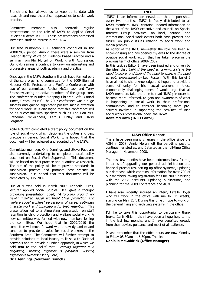Branch and has allowed us to keep up to date with research and new theoretical approaches to social work practice.

Committee members also undertook regular presentations on the role of IASW to Applied Social Studies Students in UCC. These presentations harnessed increased student interest in the IASW.

Our free bi-monthly CPD seminars continued in the 2008/2009 period. Among these were a seminar from Eleanor Bantry White on Evidence Based Practice and a seminar from Phil Mortell on Working with Aggression. Our CPD seminars continue to draw on interesting and progressive areas of both academia and practice.

Once again the IASW Southern Branch have formed part of the core organising committee for the 2009 Biennial National Child Protection and Welfare Conference with two of our committee, Rachel McCormack and Terry Bradshaw acting as active members of the group core. The conference is titled "Keeping Children Safe: Critical Times, Critical Issues'. The 2007 conference was a huge success and gained significant positive media attention for social work. It is envisaged that this conference will be as successful with speakers such as The Hon Mrs. Catherine McGuinness, Fergus Finlay and Harry Ferguson.

Aoife McGrath completed a draft policy document on the role of social work which deciphers the duties and best practice in generic Social Work. It is hoped that the document will be reviewed and adopted by the IASW.

Committee members Orla Jennings and Steve Peet are also currently undertaking to complete a draft policy document on Social Work Supervision. This document will be based on best practice and quantitative research. The aim of the policy will be to provide standards in supervision practice and promote best practice in supervision. It is hoped that this document will be completed by July 2009.

Our AGM was held in March 2009. Kenneth Burns, lecturer Applied Social Studies, UCC gave a thought provoking presentation titled; "A 'proving ground' for newly qualified social workers? Child protection and welfare social workers' perceptions of career pathways in social work and implications for their retention". This presentation led to a stimulating conversation on staff retention in child protection and welfare social work. A new committee was formed with new members joining the committee. We hope that in 2009/2010 the committee will move forward with a new dynamism and continue to provide a voice for social workers in the Southern Area. The Committee will further attempt to provide solutions to local issues, to liaise with National networks and to provide a unified approach, in which we hold firm to the belief that *coming together is a* beginning, keeping together is progress, working together is success' (Henry Ford).

# **Orla Jennings (Southern Branch)**

"INFO" is an information newsletter that is published every two months. 'INFO' is freely distributed to all IASW members. INFO contains updated information on the work of the IASW executive and council, on Special Interest Group activities, on local, national and international social work events both past, present and future, on public issues relating to social work and media profiles.

As editor of the INFO newsletter the role has been all encompassing and has opened my eyes to the degree of positive social work action that has taken place in the previous term of office 2008- 2009.

In this task as Editor I have been inspired and driven by the ideal that "behind the need to communicate is the need to share, and behind the need to share is the need to gain understanding- Leo Rosten. With this belief I have aimed to share knowledge and hope and provide a sense of unity for Irish social workers in these economically challenging times. I would urge that all IASW members take the time to read "INFO"; in order to become more informed, to gain and awareness of what is happening in social work in their professional communities, and to consider becoming more proactively involved in supporting the activities of Irish social works professional body, the IASW.

**Aoife McGrath (INFO Editor)**

# **IASW Office Report**

There have been many changes in the office since the AGM in 2008, Annie Moran left the part-time post to continue her studies, and I started as the full-time Office Manager in November 2008.

The past few months have been extremely busy for me, in terms of upgrading our general administration and financial procedures, setting up office systems, updating our database which contains information for over 700 of our members, taking registration fees for 2009, assisting with the 2008 accounts, updating publications, and planning for the 2009 Conference and AGM.

I have also recently secured an intern, Estelle Doyer who will work in the office with me for 11 weeks, starting on May  $11<sup>th</sup>$ . During this time I hope to work on the general filing and archiving systems in the office.

I'd like to take this opportunity to particularly thank Ineke, Ita & Miriam, they have been a huge help to me in the last few months, and I have benefited greatly from their advice, guidance and most of all patience.

Please remember that the office hours are now Monday to Friday 08.30am – 16.30pm. Thanks! **Danielle McGoldrick (Office Manager)**

# **INFO**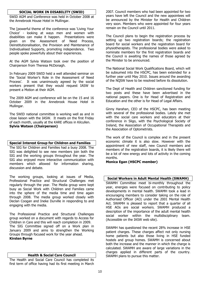# **SOCIAL WORK IN DISABILITY (SWID)**

SWID AGM and Conference was held in October 2008 at the Annebrook House Hotel in Mullingar.

The [powerful theme of the conference was "Living Your Choice" - looking at ways men and women with disabilities can make it happen. Presentations were given on the Assessment of Need Process, Deinstitutionalisation, the Provision and Maintenance of Individualised Supports, promoting independence. Two people spoke powerfully about their experiences.

At the AGM Sylvia Watson took over the position of Chairperson from Theresa McDonagh.

In February 2009 SWID held a well attended seminar on the "Social Worker"s Role in the Assessment of Need Process'. It was unanimously agreed by the social workers present that they would request IASW to present a Motion at their AGM.

The 2009 AGM and conference will be on the 15 and 16 October 2009 in the Annebrook House Hotel in Mullingar.

The SWID national committee is working well as and in close liaison with the IASW. It meets on the first Friday of each month, usually at the KARE offices in Kilcullen. **Sylvia Watson (Chairperson)**

## **Special Interest Group for Children and Families**

The SIG for Children and Families had a busy 2008. The SIG was delighted to see new members join both the SIG and the working groups throughout the year. The SIG also enjoyed more interactive communication with members which allowed for information sharing, discussion and debate.

The working groups, looking at issues of Media, Professional Practice and Structural Challenges met regularly through the year. The Media group were kept busy as Social Work with Children and Families came into the sphere of the media time and time again through 2008. The media group worked closely with Declan Coogan and Ineke Durville in responding to and engaging with the media.

The Professional Practice and Structural Challenges group worked on a document with regards to Access for Children in Care and this will reach completion in 2009. The SIG Committee signed off on a Work plan in January 2009 and aims to strengthen the Working Groups through focused work for the year ahead. **Kirsten Byrne**

## **Health & Social Care Council**

The Health and Social Care Council has completed its first term of office having had its first meeting in March

2007. Council members who had been appointed for two years have left the Council and the new appointees will be announced by the Minister for Health and Children very soon. Members who were appointed for four years remain on the Council until 2011.

The Council plans to begin the registration process by setting up two registration boards; the registration board for social workers and the registration board for physiotherapists. The professional bodies were asked to nominate members for the first registration boards and the Council is awaiting the names of those agreed by the Minister to be announced.

The National Social Work Qualifications Board, which will be subsumed into the HSCPC, has been extended for a further year until May 2010. Issues around the awarding of the NQSW have to be resolved before its dissolution.

The Dept of Health and Children sanctioned funding for two posts and these have been advertised in the national papers. One is for Head of Registration and Education and the other is for Head of Legal Affairs.

Ginny Harahan, CEO of the HSCPC, has been meeting with several of the professional bodies. Lately she met with the social care workers and educators at their conference in Sligo, with the Psychological Society of Ireland, the Association of Occupational Therapists and the Association of Optometrists.

The work of the Council is complex and in the present economic climate it is also slow. However with the appointment of new staff, new Council members and members of the registration boards, it is likely there will be a lot of new energy and lots of activity in the coming months.

**Monica Egan (HSCPC member)**

# **Social Workers in Adult Mental Health (SWAMH)**

SWAMH Committee meet bi-monthly throughout the year, energies were focused on contributing to policy developments in mental health. SWAMH took a lead in encouraging members to consider taking on the role of Authorised Officer (AO) under the 2001 Mental Health Act. SWAMH is pleased to report that a quarter of all HSE AOs are social workers. SWAMH produced a description of the importance of the adult mental health social worker within the multidisciplinary team. (Accessible on the IASW web site).

SWAMH has questioned the recent 28% increase in HSE patient charges. These charges affect not only nursing home patients but also those living in HSE funded hostels and group homes. SWAMH is concerned about both the increase and the manner in which the charge is calculated. SWAMH are aware of large variations in the charges applied in different parts of the country. SWAMH plans to pursue this matter.